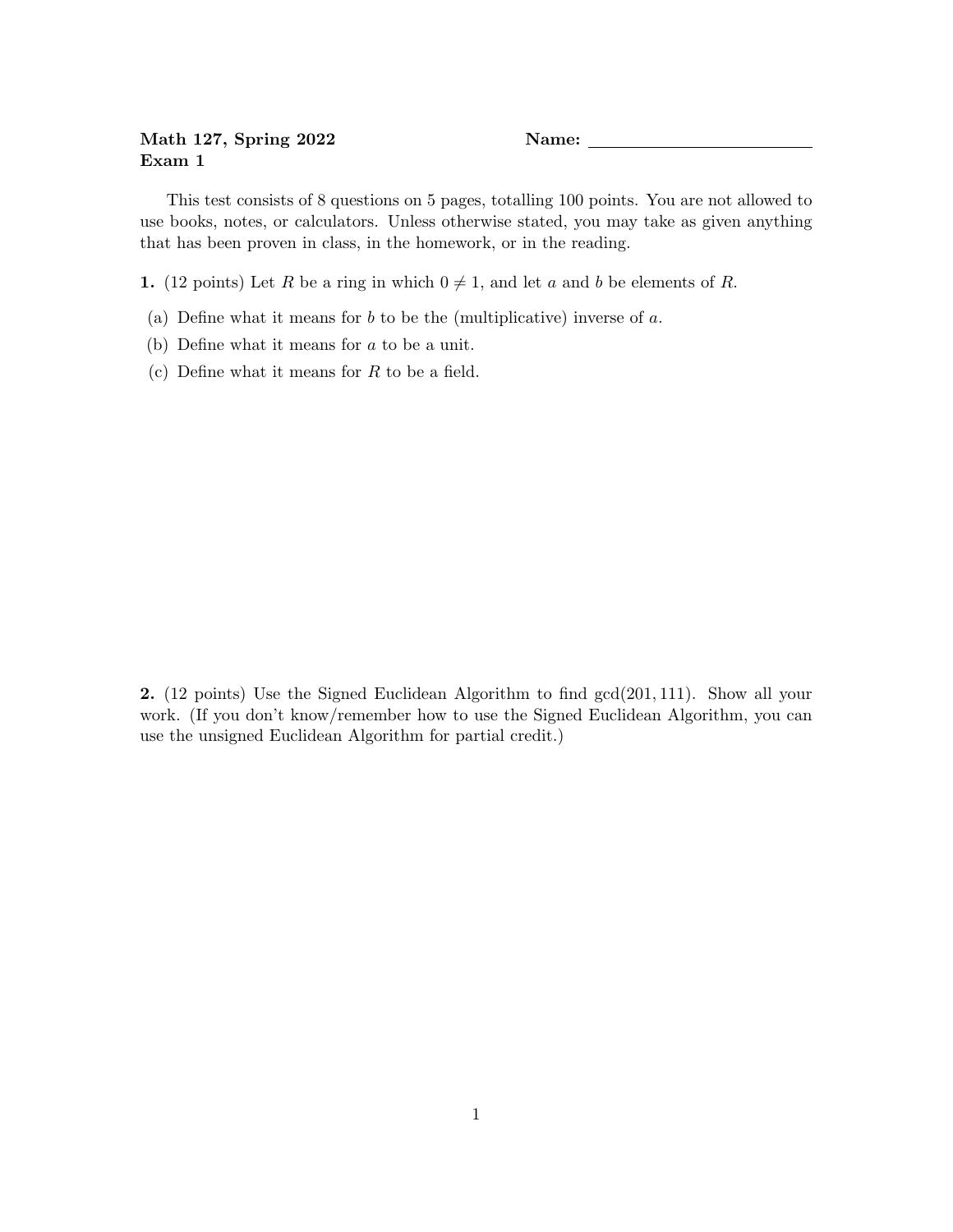## Math 127, Spring 2022 Name: Name: Exam 1

This test consists of 8 questions on 5 pages, totalling 100 points. You are not allowed to use books, notes, or calculators. Unless otherwise stated, you may take as given anything that has been proven in class, in the homework, or in the reading.

1. (12 points) Let R be a ring in which  $0 \neq 1$ , and let a and b be elements of R.

- (a) Define what it means for  $b$  to be the (multiplicative) inverse of  $a$ .
- (b) Define what it means for a to be a unit.
- (c) Define what it means for  $R$  to be a field.

2. (12 points) Use the Signed Euclidean Algorithm to find gcd(201, 111). Show all your work. (If you don't know/remember how to use the Signed Euclidean Algorithm, you can use the unsigned Euclidean Algorithm for partial credit.)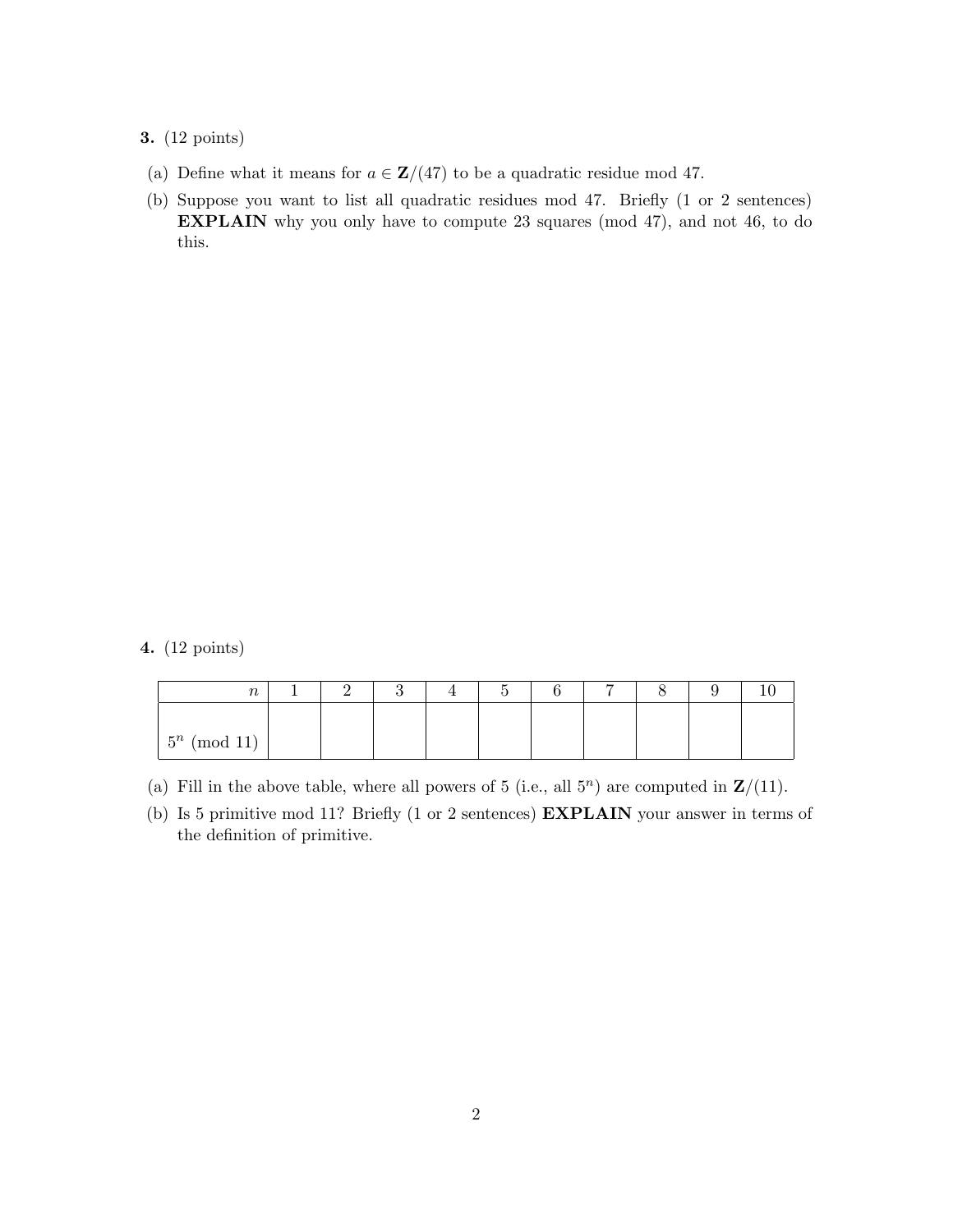3. (12 points)

- (a) Define what it means for  $a \in \mathbb{Z}/(47)$  to be a quadratic residue mod 47.
- (b) Suppose you want to list all quadratic residues mod 47. Briefly (1 or 2 sentences) EXPLAIN why you only have to compute 23 squares (mod 47), and not 46, to do this.

4. (12 points)

| $\boldsymbol{n}$ |  |  |  | − |  |  |
|------------------|--|--|--|---|--|--|
|                  |  |  |  |   |  |  |
| $5^n \pmod{11}$  |  |  |  |   |  |  |

- (a) Fill in the above table, where all powers of 5 (i.e., all  $5<sup>n</sup>$ ) are computed in  $\mathbb{Z}/(11)$ .
- (b) Is 5 primitive mod 11? Briefly (1 or 2 sentences) EXPLAIN your answer in terms of the definition of primitive.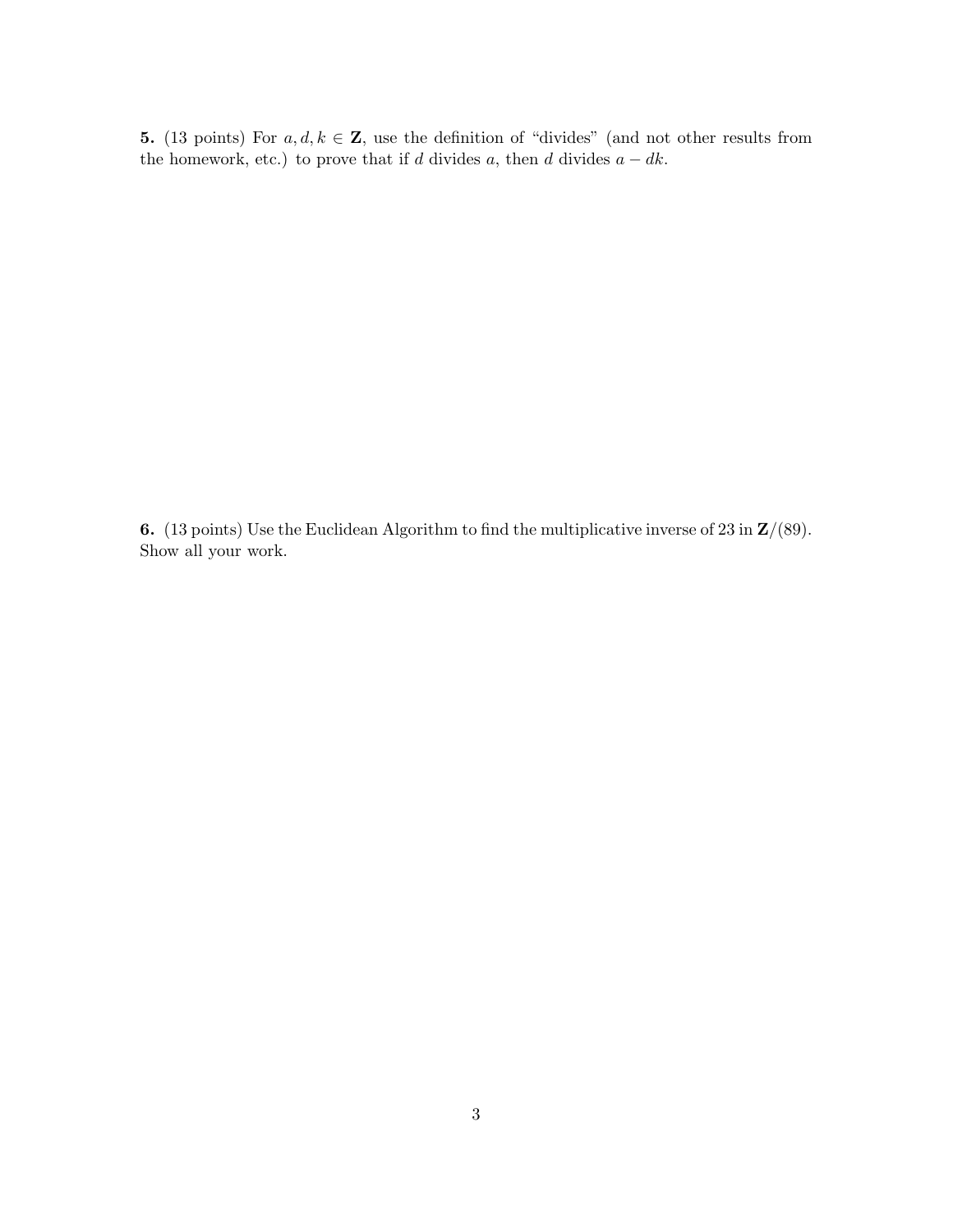5. (13 points) For  $a, d, k \in \mathbb{Z}$ , use the definition of "divides" (and not other results from the homework, etc.) to prove that if d divides  $a$ , then d divides  $a - dk$ .

6. (13 points) Use the Euclidean Algorithm to find the multiplicative inverse of 23 in  $\mathbb{Z}/(89)$ . Show all your work.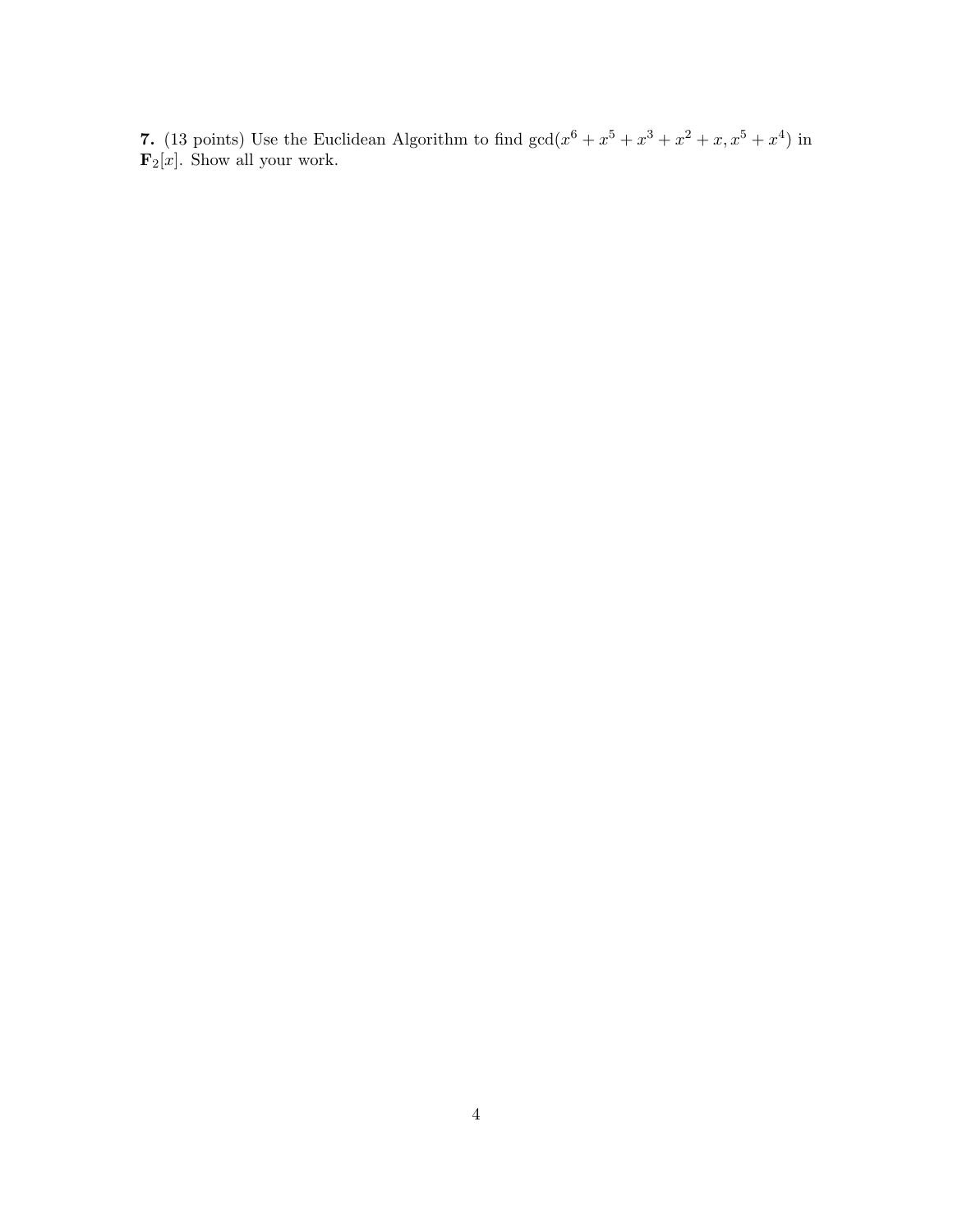7. (13 points) Use the Euclidean Algorithm to find  $gcd(x^6 + x^5 + x^3 + x^2 + x, x^5 + x^4)$  in  $\mathbf{F}_2[x]$ . Show all your work.